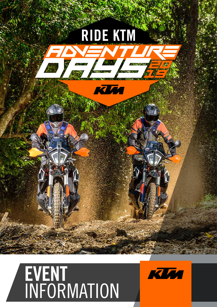

## EVENT INFORMATION

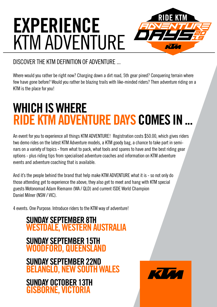# EXPERIENCE KTM ADVENTURE

#### DISCOVER THE KTM DEFINITION OF ADVENTURE ...

Where would you rather be right now? Charging down a dirt road, 5th gear pined? Conquering terrain where few have gone before? Would you rather be blazing trails with like-minded riders? Then adventure riding on a KTM is the place for you!

## WHICH IS WHERE **RIDE KTM ADVENTURE DAYS COMES IN**

An event for you to experience all things KTM ADVENTURE! Registration costs \$50.00, which gives riders two demo rides on the latest KTM Adventure models, a KTM goody bag, a chance to take part in seminars on a variety of topics - from what to pack, what tools and spares to have and the best riding gear options - plus riding tips from specialised adventure coaches and information on KTM adventure events and adventure coaching that is available.

And it's the people behind the brand that help make KTM ADVENTURE what it is - so not only do those attending get to experience the above, they also get to meet and hang with KTM special guests Motonomad Adam Riemann (WA / QLD) and current ISDE World Champion Daniel Milner (NSW / VIC).

4 events. One Purpose. Introduce riders to the KTM way of adventure!

#### SUNDAY SEPTEMBER 8TH WESTDALE, WESTERN AUSTRALIA SUNDAY SEPTEMBER 15TH WOODFORD, QUEENSLAND SUNDAY SEPTEMBER 22ND BELANGLO, NEW SOUTH WALES SUNDAY OCTOBER 13TH GISBORNE, VICTORIA

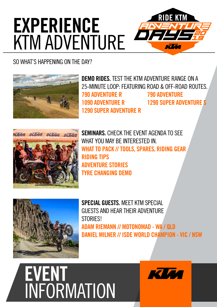### **RIDE KTM** EXPERIENCE KTM ADVENTURE

#### SO WHAT'S HAPPENING ON THE DAY?



DEMO RIDES. TEST THE KTM ADVENTURE RANGE ON A 25-MINUTE LOOP: FEATURING ROAD & OFF-ROAD ROUTES. 790 ADVENTURE R 790 ADVENTURE 1090 ADVENTURE R 1290 SUPER ADVENTURE S 1290 SUPER ADVENTURE R



SEMINARS. CHECK THE EVENT AGENDA TO SEE WHAT YOU MAY BE INTERESTED IN. WHAT TO PACK // TOOLS, SPARES, RIDING GEAR RIDING TIPS ADVENTURE STORIES TYRE CHANGING DEMO



SPECIAL GUESTS. MEFT KTM SPECIAL GUESTS AND HEAR THEIR ADVENTURE **STORIES!** ADAM RIEMANN // MOTONOMAD - WA / QLD DANIEL MILNER // ISDE WORLD CHAMPION - VIC / NSW



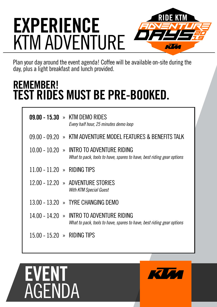### **RIDE KT** EXPERIENCE KTM ADVENTURE

Plan your day around the event agenda! Coffee will be available on-site during the day, plus a light breakfast and lunch provided.

### REMEMBER! TEST RIDES MUST BE PRE-BOOKED.

|                                         | $09.00 - 15.30 \rightarrow$ KTM DEMO RIDES<br>Every half hour, 25 minutes demo loop                                |
|-----------------------------------------|--------------------------------------------------------------------------------------------------------------------|
|                                         | 09.00 - 09.20 » KTM ADVENTURE MODEL FEATURES & BENEFITS TALK                                                       |
|                                         | 10.00 - 10.20 » INTRO TO ADVENTURE RIDING<br>What to pack, tools to have, spares to have, best riding gear options |
| 11.00 - 11.20 » RIDING TIPS             |                                                                                                                    |
|                                         | 12.00 - 12.20 » ADVENTURE STORIES<br>With KTM Special Guest                                                        |
|                                         | 13.00 - 13.20 » TYRE CHANGING DEMO                                                                                 |
|                                         | 14.00 - 14.20 » INTRO TO ADVENTURE RIDING<br>What to pack, tools to have, spares to have, best riding gear options |
| 15.00 - 15.20 $\rightarrow$ RIDING TIPS |                                                                                                                    |